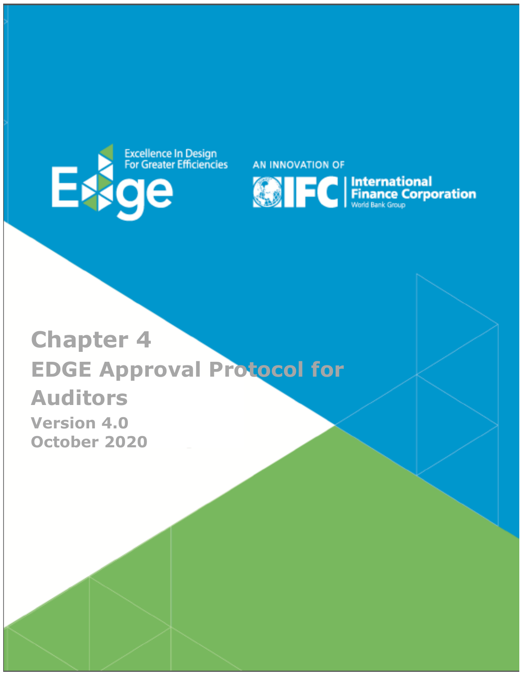

AN INNOVATION OF



# **Chapter 4 EDGE Approval Protocol for Auditors Version 4.0 October 2020**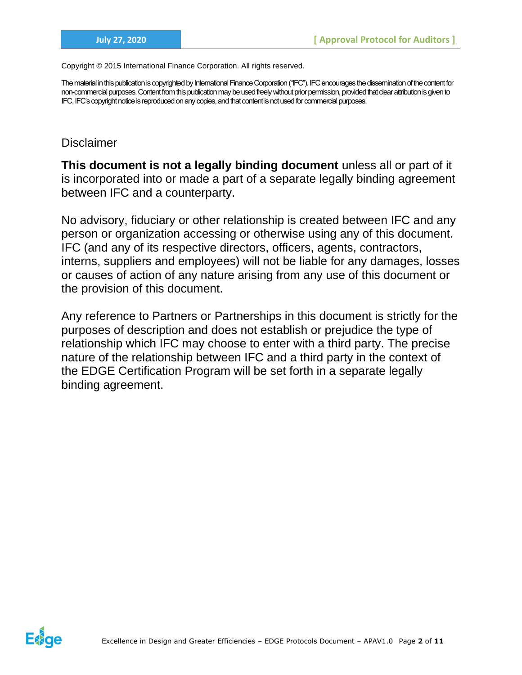Copyright © 2015 International Finance Corporation. All rights reserved.

The material in this publication is copyrighted by International Finance Corporation ("IFC"). IFC encourages the dissemination of the content for non-commercial purposes. Content from this publication may be used freely without prior permission, provided that clear attribution is given to IFC, IFC's copyright notice is reproduced on any copies, and that content is not used for commercial purposes.

## **Disclaimer**

**This document is not a legally binding document** unless all or part of it is incorporated into or made a part of a separate legally binding agreement between IFC and a counterparty.

No advisory, fiduciary or other relationship is created between IFC and any person or organization accessing or otherwise using any of this document. IFC (and any of its respective directors, officers, agents, contractors, interns, suppliers and employees) will not be liable for any damages, losses or causes of action of any nature arising from any use of this document or the provision of this document.

Any reference to Partners or Partnerships in this document is strictly for the purposes of description and does not establish or prejudice the type of relationship which IFC may choose to enter with a third party. The precise nature of the relationship between IFC and a third party in the context of the EDGE Certification Program will be set forth in a separate legally binding agreement.

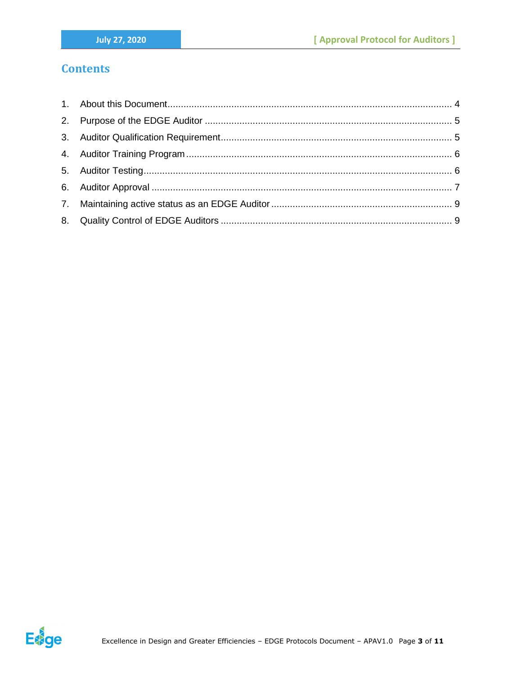# **Contents**

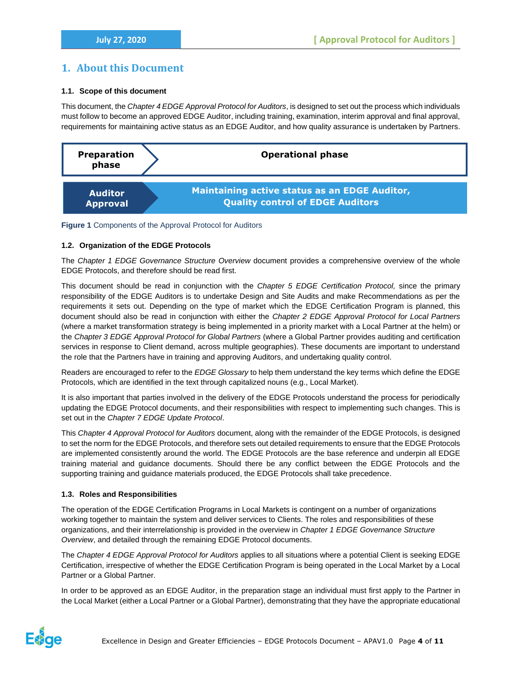## <span id="page-3-0"></span>**1. About this Document**

### **1.1. Scope of this document**

This document, the *Chapter 4 EDGE Approval Protocol for Auditors*, is designed to set out the process which individuals must follow to become an approved EDGE Auditor, including training, examination, interim approval and final approval, requirements for maintaining active status as an EDGE Auditor, and how quality assurance is undertaken by Partners.



**Figure 1** Components of the Approval Protocol for Auditors

#### **1.2. Organization of the EDGE Protocols**

The *Chapter 1 EDGE Governance Structure Overview* document provides a comprehensive overview of the whole EDGE Protocols, and therefore should be read first.

This document should be read in conjunction with the *Chapter 5 EDGE Certification Protocol,* since the primary responsibility of the EDGE Auditors is to undertake Design and Site Audits and make Recommendations as per the requirements it sets out. Depending on the type of market which the EDGE Certification Program is planned, this document should also be read in conjunction with either the *Chapter 2 EDGE Approval Protocol for Local Partners* (where a market transformation strategy is being implemented in a priority market with a Local Partner at the helm) or the *Chapter 3 EDGE Approval Protocol for Global Partners* (where a Global Partner provides auditing and certification services in response to Client demand, across multiple geographies). These documents are important to understand the role that the Partners have in training and approving Auditors, and undertaking quality control.

Readers are encouraged to refer to the *EDGE Glossary* to help them understand the key terms which define the EDGE Protocols, which are identified in the text through capitalized nouns (e.g., Local Market).

It is also important that parties involved in the delivery of the EDGE Protocols understand the process for periodically updating the EDGE Protocol documents, and their responsibilities with respect to implementing such changes. This is set out in the *Chapter 7 EDGE Update Protocol*.

This *Chapter 4 Approval Protocol for Auditors* document, along with the remainder of the EDGE Protocols, is designed to set the norm for the EDGE Protocols, and therefore sets out detailed requirements to ensure that the EDGE Protocols are implemented consistently around the world. The EDGE Protocols are the base reference and underpin all EDGE training material and guidance documents. Should there be any conflict between the EDGE Protocols and the supporting training and guidance materials produced, the EDGE Protocols shall take precedence.

#### **1.3. Roles and Responsibilities**

The operation of the EDGE Certification Programs in Local Markets is contingent on a number of organizations working together to maintain the system and deliver services to Clients. The roles and responsibilities of these organizations, and their interrelationship is provided in the overview in *Chapter 1 EDGE Governance Structure Overview*, and detailed through the remaining EDGE Protocol documents.

The *Chapter 4 EDGE Approval Protocol for Auditors* applies to all situations where a potential Client is seeking EDGE Certification, irrespective of whether the EDGE Certification Program is being operated in the Local Market by a Local Partner or a Global Partner.

In order to be approved as an EDGE Auditor, in the preparation stage an individual must first apply to the Partner in the Local Market (either a Local Partner or a Global Partner), demonstrating that they have the appropriate educational

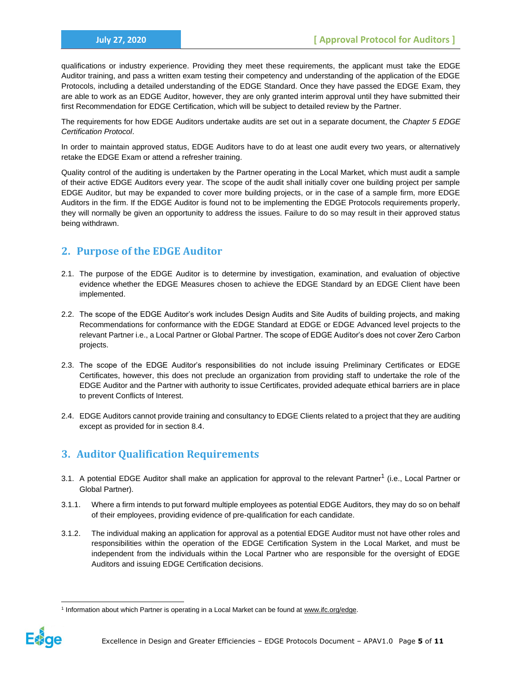qualifications or industry experience. Providing they meet these requirements, the applicant must take the EDGE Auditor training, and pass a written exam testing their competency and understanding of the application of the EDGE Protocols, including a detailed understanding of the EDGE Standard. Once they have passed the EDGE Exam, they are able to work as an EDGE Auditor, however, they are only granted interim approval until they have submitted their first Recommendation for EDGE Certification, which will be subject to detailed review by the Partner.

The requirements for how EDGE Auditors undertake audits are set out in a separate document, the *Chapter 5 EDGE Certification Protocol*.

In order to maintain approved status, EDGE Auditors have to do at least one audit every two years, or alternatively retake the EDGE Exam or attend a refresher training.

Quality control of the auditing is undertaken by the Partner operating in the Local Market, which must audit a sample of their active EDGE Auditors every year. The scope of the audit shall initially cover one building project per sample EDGE Auditor, but may be expanded to cover more building projects, or in the case of a sample firm, more EDGE Auditors in the firm. If the EDGE Auditor is found not to be implementing the EDGE Protocols requirements properly, they will normally be given an opportunity to address the issues. Failure to do so may result in their approved status being withdrawn.

# <span id="page-4-0"></span>**2. Purpose of the EDGE Auditor**

- 2.1. The purpose of the EDGE Auditor is to determine by investigation, examination, and evaluation of objective evidence whether the EDGE Measures chosen to achieve the EDGE Standard by an EDGE Client have been implemented.
- 2.2. The scope of the EDGE Auditor's work includes Design Audits and Site Audits of building projects, and making Recommendations for conformance with the EDGE Standard at EDGE or EDGE Advanced level projects to the relevant Partner i.e., a Local Partner or Global Partner. The scope of EDGE Auditor's does not cover Zero Carbon projects.
- 2.3. The scope of the EDGE Auditor's responsibilities do not include issuing Preliminary Certificates or EDGE Certificates, however, this does not preclude an organization from providing staff to undertake the role of the EDGE Auditor and the Partner with authority to issue Certificates, provided adequate ethical barriers are in place to prevent Conflicts of Interest.
- 2.4. EDGE Auditors cannot provide training and consultancy to EDGE Clients related to a project that they are auditing except as provided for in section 8.4.

# <span id="page-4-1"></span>**3. Auditor Qualification Requirements**

- 3.1. A potential EDGE Auditor shall make an application for approval to the relevant Partner<sup>1</sup> (i.e., Local Partner or Global Partner).
- 3.1.1. Where a firm intends to put forward multiple employees as potential EDGE Auditors, they may do so on behalf of their employees, providing evidence of pre-qualification for each candidate.
- 3.1.2. The individual making an application for approval as a potential EDGE Auditor must not have other roles and responsibilities within the operation of the EDGE Certification System in the Local Market, and must be independent from the individuals within the Local Partner who are responsible for the oversight of EDGE Auditors and issuing EDGE Certification decisions.

<sup>&</sup>lt;sup>1</sup> Information about which Partner is operating in a Local Market can be found a[t www.ifc.org/edge.](http://www.ifc.org/edge)

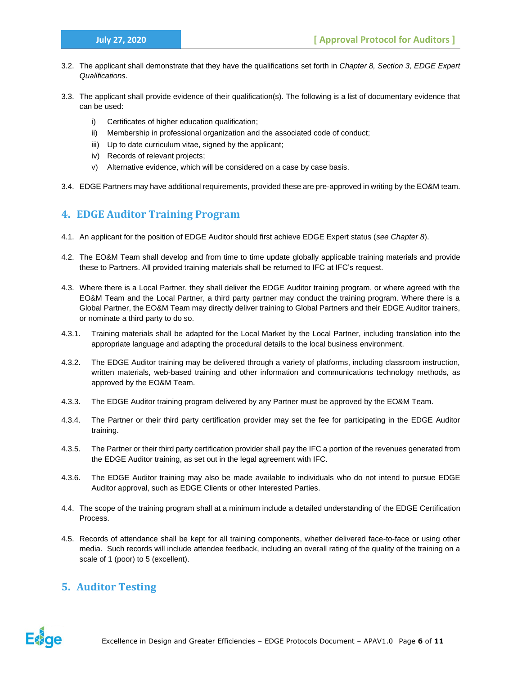- 3.2. The applicant shall demonstrate that they have the qualifications set forth in *Chapter 8, Section 3, EDGE Expert Qualifications*.
- 3.3. The applicant shall provide evidence of their qualification(s). The following is a list of documentary evidence that can be used:
	- i) Certificates of higher education qualification;
	- ii) Membership in professional organization and the associated code of conduct;
	- iii) Up to date curriculum vitae, signed by the applicant;
	- iv) Records of relevant projects;
	- v) Alternative evidence, which will be considered on a case by case basis.
- 3.4. EDGE Partners may have additional requirements, provided these are pre-approved in writing by the EO&M team.

# <span id="page-5-0"></span>**4. EDGE Auditor Training Program**

- 4.1. An applicant for the position of EDGE Auditor should first achieve EDGE Expert status (*see Chapter 8*).
- 4.2. The EO&M Team shall develop and from time to time update globally applicable training materials and provide these to Partners. All provided training materials shall be returned to IFC at IFC's request.
- 4.3. Where there is a Local Partner, they shall deliver the EDGE Auditor training program, or where agreed with the EO&M Team and the Local Partner, a third party partner may conduct the training program. Where there is a Global Partner, the EO&M Team may directly deliver training to Global Partners and their EDGE Auditor trainers, or nominate a third party to do so.
- 4.3.1. Training materials shall be adapted for the Local Market by the Local Partner, including translation into the appropriate language and adapting the procedural details to the local business environment.
- 4.3.2. The EDGE Auditor training may be delivered through a variety of platforms, including classroom instruction, written materials, web-based training and other information and communications technology methods, as approved by the EO&M Team.
- 4.3.3. The EDGE Auditor training program delivered by any Partner must be approved by the EO&M Team.
- 4.3.4. The Partner or their third party certification provider may set the fee for participating in the EDGE Auditor training.
- 4.3.5. The Partner or their third party certification provider shall pay the IFC a portion of the revenues generated from the EDGE Auditor training, as set out in the legal agreement with IFC.
- 4.3.6. The EDGE Auditor training may also be made available to individuals who do not intend to pursue EDGE Auditor approval, such as EDGE Clients or other Interested Parties.
- 4.4. The scope of the training program shall at a minimum include a detailed understanding of the EDGE Certification Process.
- 4.5. Records of attendance shall be kept for all training components, whether delivered face-to-face or using other media. Such records will include attendee feedback, including an overall rating of the quality of the training on a scale of 1 (poor) to 5 (excellent).

# <span id="page-5-1"></span>**5. Auditor Testing**

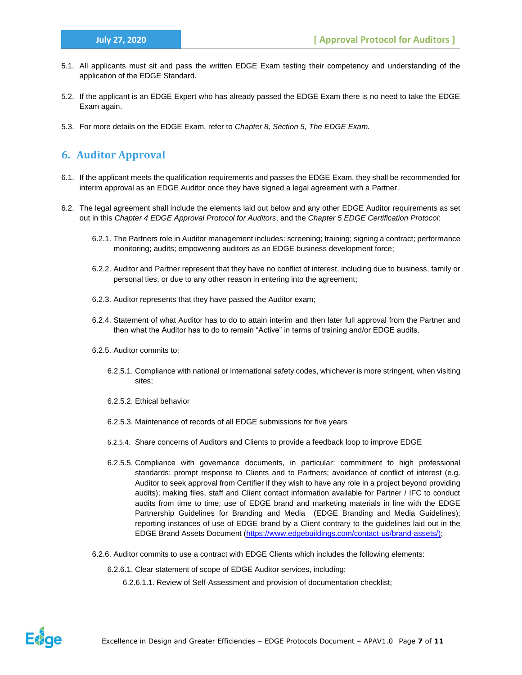- 5.1. All applicants must sit and pass the written EDGE Exam testing their competency and understanding of the application of the EDGE Standard.
- 5.2. If the applicant is an EDGE Expert who has already passed the EDGE Exam there is no need to take the EDGE Exam again.
- 5.3. For more details on the EDGE Exam, refer to *Chapter 8, Section 5, The EDGE Exam.*

# <span id="page-6-0"></span>**6. Auditor Approval**

- 6.1. If the applicant meets the qualification requirements and passes the EDGE Exam, they shall be recommended for interim approval as an EDGE Auditor once they have signed a legal agreement with a Partner.
- 6.2. The legal agreement shall include the elements laid out below and any other EDGE Auditor requirements as set out in this *Chapter 4 EDGE Approval Protocol for Auditors*, and the *Chapter 5 EDGE Certification Protocol*:
	- 6.2.1. The Partners role in Auditor management includes: screening; training; signing a contract; performance monitoring; audits; empowering auditors as an EDGE business development force;
	- 6.2.2. Auditor and Partner represent that they have no conflict of interest, including due to business, family or personal ties, or due to any other reason in entering into the agreement;
	- 6.2.3. Auditor represents that they have passed the Auditor exam;
	- 6.2.4. Statement of what Auditor has to do to attain interim and then later full approval from the Partner and then what the Auditor has to do to remain "Active" in terms of training and/or EDGE audits.
	- 6.2.5. Auditor commits to:
		- 6.2.5.1. Compliance with national or international safety codes, whichever is more stringent, when visiting sites;
		- 6.2.5.2. Ethical behavior
		- 6.2.5.3. Maintenance of records of all EDGE submissions for five years
		- 6.2.5.4. Share concerns of Auditors and Clients to provide a feedback loop to improve EDGE
		- 6.2.5.5. Compliance with governance documents, in particular: commitment to high professional standards; prompt response to Clients and to Partners; avoidance of conflict of interest (e.g. Auditor to seek approval from Certifier if they wish to have any role in a project beyond providing audits); making files, staff and Client contact information available for Partner / IFC to conduct audits from time to time; use of EDGE brand and marketing materials in line with the EDGE Partnership Guidelines for Branding and Media (EDGE Branding and Media Guidelines); reporting instances of use of EDGE brand by a Client contrary to the guidelines laid out in the EDGE Brand Assets Document [\(https://www.edgebuildings.com/contact-us/brand-assets/\)](https://www.edgebuildings.com/contact-us/brand-assets/);
	- 6.2.6. Auditor commits to use a contract with EDGE Clients which includes the following elements:

6.2.6.1. Clear statement of scope of EDGE Auditor services, including:

6.2.6.1.1. Review of Self-Assessment and provision of documentation checklist;

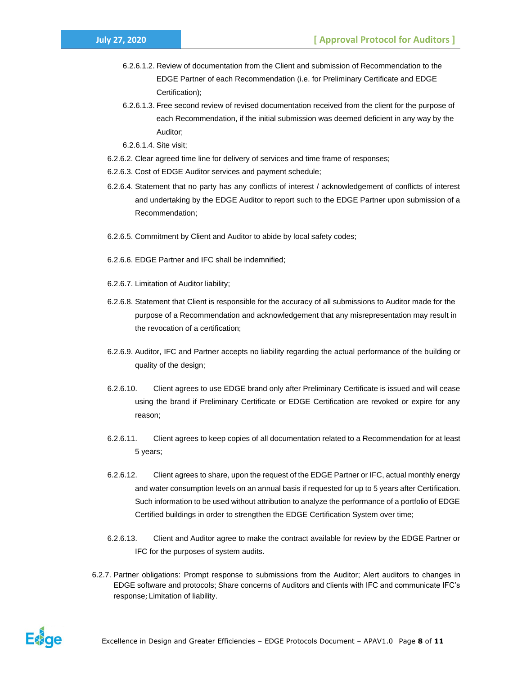- 6.2.6.1.2. Review of documentation from the Client and submission of Recommendation to the EDGE Partner of each Recommendation (i.e. for Preliminary Certificate and EDGE Certification);
- 6.2.6.1.3. Free second review of revised documentation received from the client for the purpose of each Recommendation, if the initial submission was deemed deficient in any way by the Auditor;

6.2.6.1.4. Site visit;

- 6.2.6.2. Clear agreed time line for delivery of services and time frame of responses;
- 6.2.6.3. Cost of EDGE Auditor services and payment schedule;
- 6.2.6.4. Statement that no party has any conflicts of interest / acknowledgement of conflicts of interest and undertaking by the EDGE Auditor to report such to the EDGE Partner upon submission of a Recommendation;
- 6.2.6.5. Commitment by Client and Auditor to abide by local safety codes;
- 6.2.6.6. EDGE Partner and IFC shall be indemnified;
- 6.2.6.7. Limitation of Auditor liability;
- 6.2.6.8. Statement that Client is responsible for the accuracy of all submissions to Auditor made for the purpose of a Recommendation and acknowledgement that any misrepresentation may result in the revocation of a certification;
- 6.2.6.9. Auditor, IFC and Partner accepts no liability regarding the actual performance of the building or quality of the design;
- 6.2.6.10. Client agrees to use EDGE brand only after Preliminary Certificate is issued and will cease using the brand if Preliminary Certificate or EDGE Certification are revoked or expire for any reason;
- 6.2.6.11. Client agrees to keep copies of all documentation related to a Recommendation for at least 5 years;
- 6.2.6.12. Client agrees to share, upon the request of the EDGE Partner or IFC, actual monthly energy and water consumption levels on an annual basis if requested for up to 5 years after Certification. Such information to be used without attribution to analyze the performance of a portfolio of EDGE Certified buildings in order to strengthen the EDGE Certification System over time;
- 6.2.6.13. Client and Auditor agree to make the contract available for review by the EDGE Partner or IFC for the purposes of system audits.
- 6.2.7. Partner obligations: Prompt response to submissions from the Auditor; Alert auditors to changes in EDGE software and protocols; Share concerns of Auditors and Clients with IFC and communicate IFC's response; Limitation of liability.

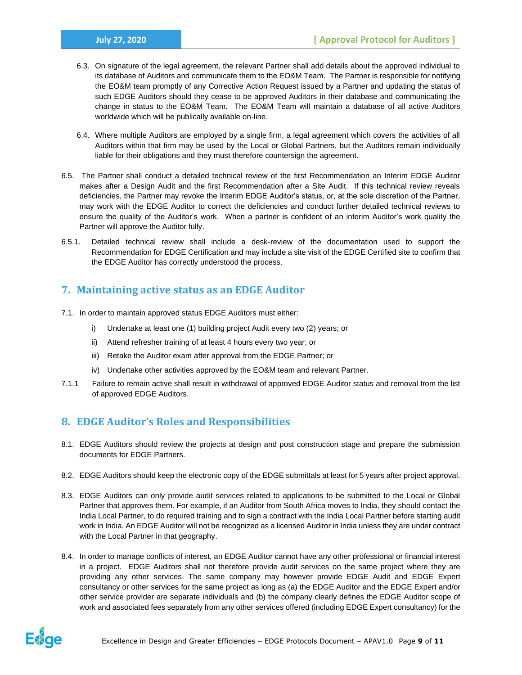- 6.3. On signature of the legal agreement, the relevant Partner shall add details about the approved individual to its database of Auditors and communicate them to the EO&M Team. The Partner is responsible for notifying the EO&M team promptly of any Corrective Action Request issued by a Partner and updating the status of such EDGE Auditors should they cease to be approved Auditors in their database and communicating the change in status to the EO&M Team. The EO&M Team will maintain a database of all active Auditors worldwide which will be publically available on-line.
- 6.4. Where multiple Auditors are employed by a single firm, a legal agreement which covers the activities of all Auditors within that firm may be used by the Local or Global Partners, but the Auditors remain individually liable for their obligations and they must therefore countersign the agreement.
- 6.5. The Partner shall conduct a detailed technical review of the first Recommendation an Interim EDGE Auditor makes after a Design Audit and the first Recommendation after a Site Audit. If this technical review reveals deficiencies, the Partner may revoke the Interim EDGE Auditor's status, or, at the sole discretion of the Partner, may work with the EDGE Auditor to correct the deficiencies and conduct further detailed technical reviews to ensure the quality of the Auditor's work. When a partner is confident of an interim Auditor's work quality the Partner will approve the Auditor fully.
- 6.5.1. Detailed technical review shall include a desk-review of the documentation used to support the Recommendation for EDGE Certification and may include a site visit of the EDGE Certified site to confirm that the EDGE Auditor has correctly understood the process.

# <span id="page-8-0"></span>**7. Maintaining active status as an EDGE Auditor**

- 7.1. In order to maintain approved status EDGE Auditors must either:
	- i) Undertake at least one (1) building project Audit every two (2) years; or
	- ii) Attend refresher training of at least 4 hours every two year; or
	- iii) Retake the Auditor exam after approval from the EDGE Partner; or
	- iv) Undertake other activities approved by the EO&M team and relevant Partner.
- 7.1.1 Failure to remain active shall result in withdrawal of approved EDGE Auditor status and removal from the list of approved EDGE Auditors.

# <span id="page-8-1"></span>**8. EDGE Auditor's Roles and Responsibilities**

- 8.1. EDGE Auditors should review the projects at design and post construction stage and prepare the submission documents for EDGE Partners.
- 8.2. EDGE Auditors should keep the electronic copy of the EDGE submittals at least for 5 years after project approval.
- 8.3. EDGE Auditors can only provide audit services related to applications to be submitted to the Local or Global Partner that approves them. For example, if an Auditor from South Africa moves to India, they should contact the India Local Partner, to do required training and to sign a contract with the India Local Partner before starting audit work in India. An EDGE Auditor will not be recognized as a licensed Auditor in India unless they are under contract with the Local Partner in that geography.
- 8.4. In order to manage conflicts of interest, an EDGE Auditor cannot have any other professional or financial interest in a project. EDGE Auditors shall not therefore provide audit services on the same project where they are providing any other services. The same company may however provide EDGE Audit and EDGE Expert consultancy or other services for the same project as long as (a) the EDGE Auditor and the EDGE Expert and/or other service provider are separate individuals and (b) the company clearly defines the EDGE Auditor scope of work and associated fees separately from any other services offered (including EDGE Expert consultancy) for the

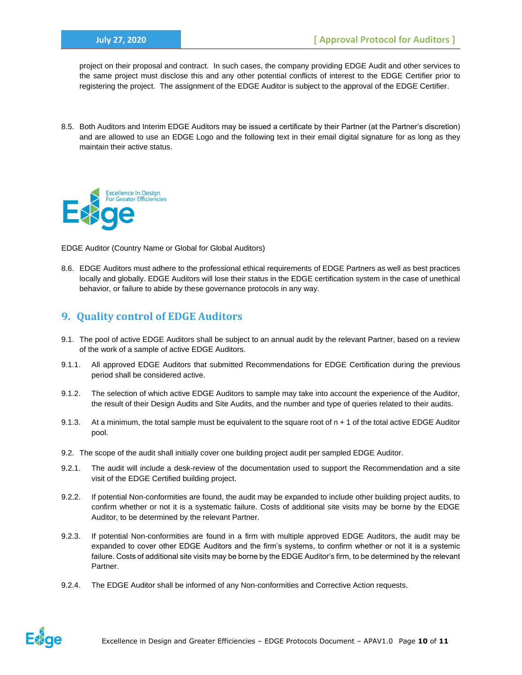project on their proposal and contract. In such cases, the company providing EDGE Audit and other services to the same project must disclose this and any other potential conflicts of interest to the EDGE Certifier prior to registering the project. The assignment of the EDGE Auditor is subject to the approval of the EDGE Certifier.

8.5. Both Auditors and Interim EDGE Auditors may be issued a certificate by their Partner (at the Partner's discretion) and are allowed to use an EDGE Logo and the following text in their email digital signature for as long as they maintain their active status.



EDGE Auditor (Country Name or Global for Global Auditors)

8.6. EDGE Auditors must adhere to the professional ethical requirements of EDGE Partners as well as best practices locally and globally. EDGE Auditors will lose their status in the EDGE certification system in the case of unethical behavior, or failure to abide by these governance protocols in any way.

# **9. Quality control of EDGE Auditors**

- 9.1. The pool of active EDGE Auditors shall be subject to an annual audit by the relevant Partner, based on a review of the work of a sample of active EDGE Auditors.
- 9.1.1. All approved EDGE Auditors that submitted Recommendations for EDGE Certification during the previous period shall be considered active.
- 9.1.2. The selection of which active EDGE Auditors to sample may take into account the experience of the Auditor, the result of their Design Audits and Site Audits, and the number and type of queries related to their audits.
- 9.1.3. At a minimum, the total sample must be equivalent to the square root of  $n + 1$  of the total active EDGE Auditor pool.
- 9.2. The scope of the audit shall initially cover one building project audit per sampled EDGE Auditor.
- 9.2.1. The audit will include a desk-review of the documentation used to support the Recommendation and a site visit of the EDGE Certified building project.
- 9.2.2. If potential Non-conformities are found, the audit may be expanded to include other building project audits, to confirm whether or not it is a systematic failure. Costs of additional site visits may be borne by the EDGE Auditor, to be determined by the relevant Partner.
- 9.2.3. If potential Non-conformities are found in a firm with multiple approved EDGE Auditors, the audit may be expanded to cover other EDGE Auditors and the firm's systems, to confirm whether or not it is a systemic failure. Costs of additional site visits may be borne by the EDGE Auditor's firm, to be determined by the relevant Partner.
- 9.2.4. The EDGE Auditor shall be informed of any Non-conformities and Corrective Action requests.